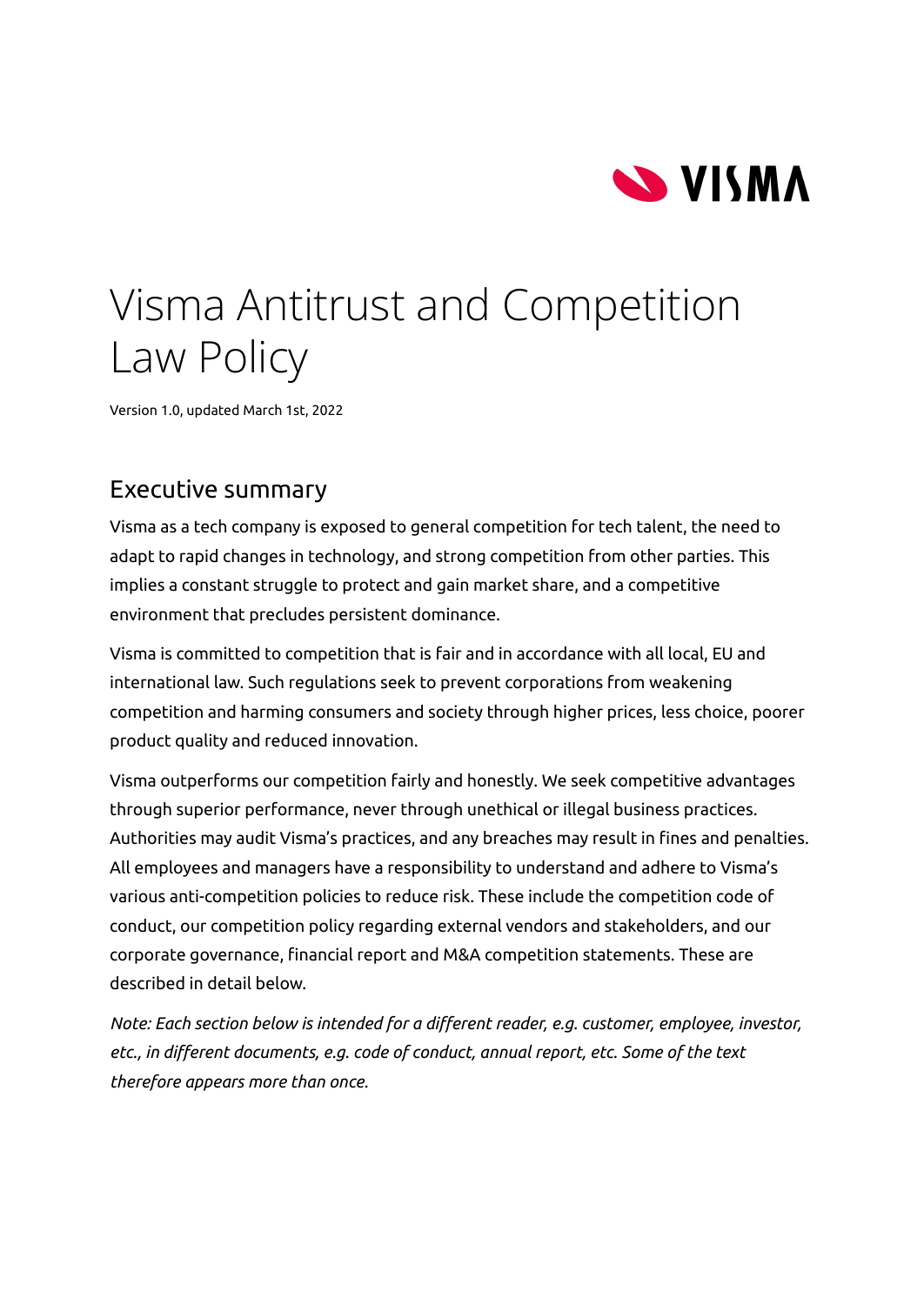

# Visma Antitrust and Competition Law Policy

<span id="page-0-0"></span>Version 1.0, updated March 1st, 2022

### Executive summary

Visma as a tech company is exposed to general competition for tech talent, the need to adapt to rapid changes in technology, and strong competition from other parties. This implies a constant struggle to protect and gain market share, and a competitive environment that precludes persistent dominance.

Visma is committed to competition that is fair and in accordance with all local, EU and international law. Such regulations seek to prevent corporations from weakening competition and harming consumers and society through higher prices, less choice, poorer product quality and reduced innovation.

Visma outperforms our competition fairly and honestly. We seek competitive advantages through superior performance, never through unethical or illegal business practices. Authorities may audit Visma's practices, and any breaches may result in fines and penalties. All employees and managers have a responsibility to understand and adhere to Visma's various anti-competition policies to reduce risk. These include the competition code of conduct, our competition policy regarding external vendors and stakeholders, and our corporate governance, financial report and M&A competition statements. These are described in detail below.

*Note: Each section below is intended for a different reader, e.g. customer, employee, investor, etc., in different documents, e.g. code of conduct, annual report, etc. Some of the text therefore appears more than once.*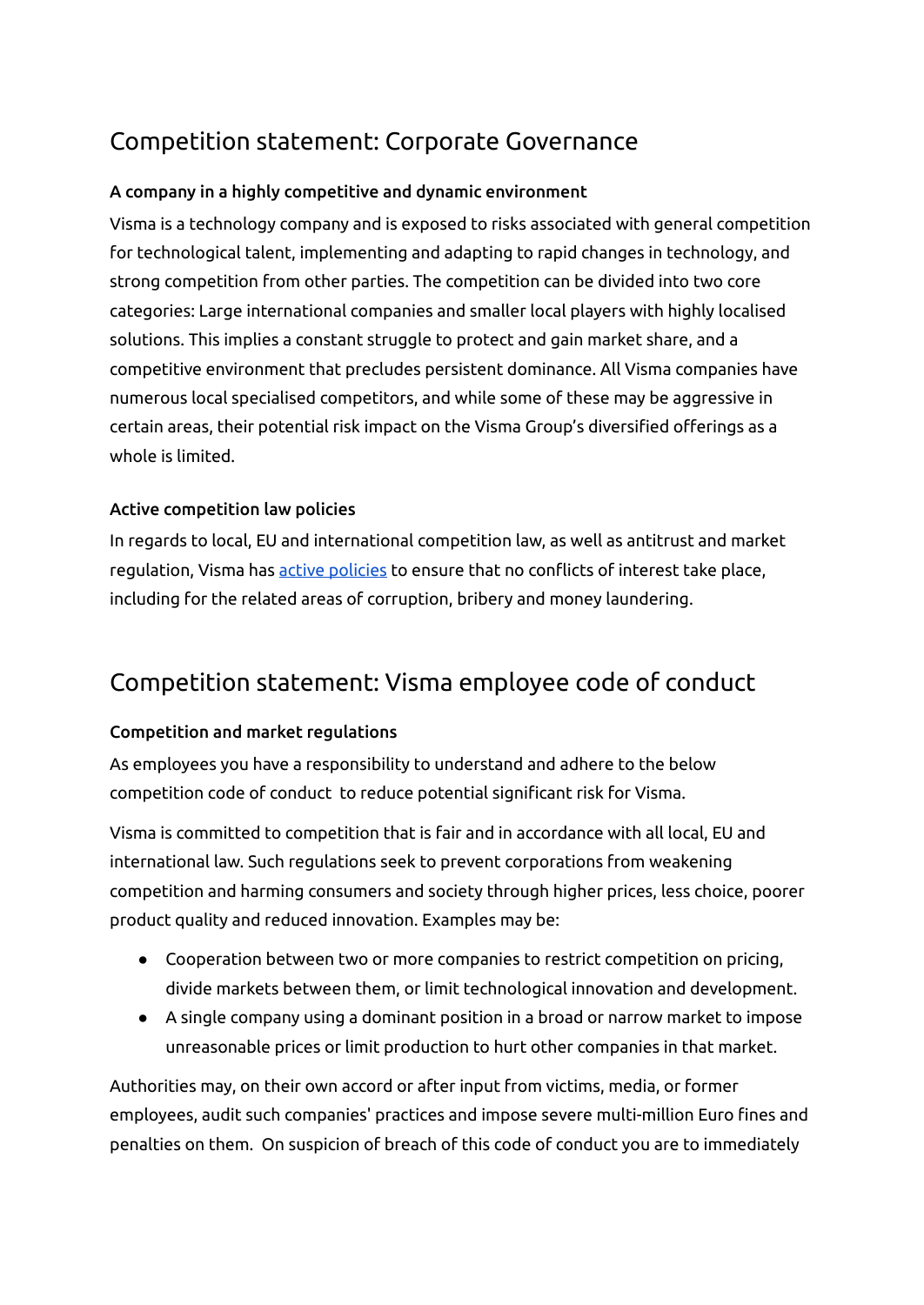# Competition statement: Corporate Governance

#### A company in a highly competitive and dynamic environment

Visma is a technology company and is exposed to risks associated with general competition for technological talent, implementing and adapting to rapid changes in technology, and strong competition from other parties. The competition can be divided into two core categories: Large international companies and smaller local players with highly localised solutions. This implies a constant struggle to protect and gain market share, and a competitive environment that precludes persistent dominance. All Visma companies have numerous local specialised competitors, and while some of these may be aggressive in certain areas, their potential risk impact on the Visma Group's diversified offerings as a whole is limited.

#### Active competition law policies

In regards to local, EU and international competition law, as well as antitrust and market regulation, Visma has active [policies](#page-0-0) to ensure that no conflicts of interest take place, including for the related areas of corruption, bribery and money laundering.

## Competition statement: Visma employee code of conduct

#### Competition and market regulations

As employees you have a responsibility to understand and adhere to the below competition code of conduct to reduce potential significant risk for Visma.

Visma is committed to competition that is fair and in accordance with all local, EU and international law. Such regulations seek to prevent corporations from weakening competition and harming consumers and society through higher prices, less choice, poorer product quality and reduced innovation. Examples may be:

- Cooperation between two or more companies to restrict competition on pricing, divide markets between them, or limit technological innovation and development.
- A single company using a dominant position in a broad or narrow market to impose unreasonable prices or limit production to hurt other companies in that market.

Authorities may, on their own accord or after input from victims, media, or former employees, audit such companies' practices and impose severe multi-million Euro fines and penalties on them. On suspicion of breach of this code of conduct you are to immediately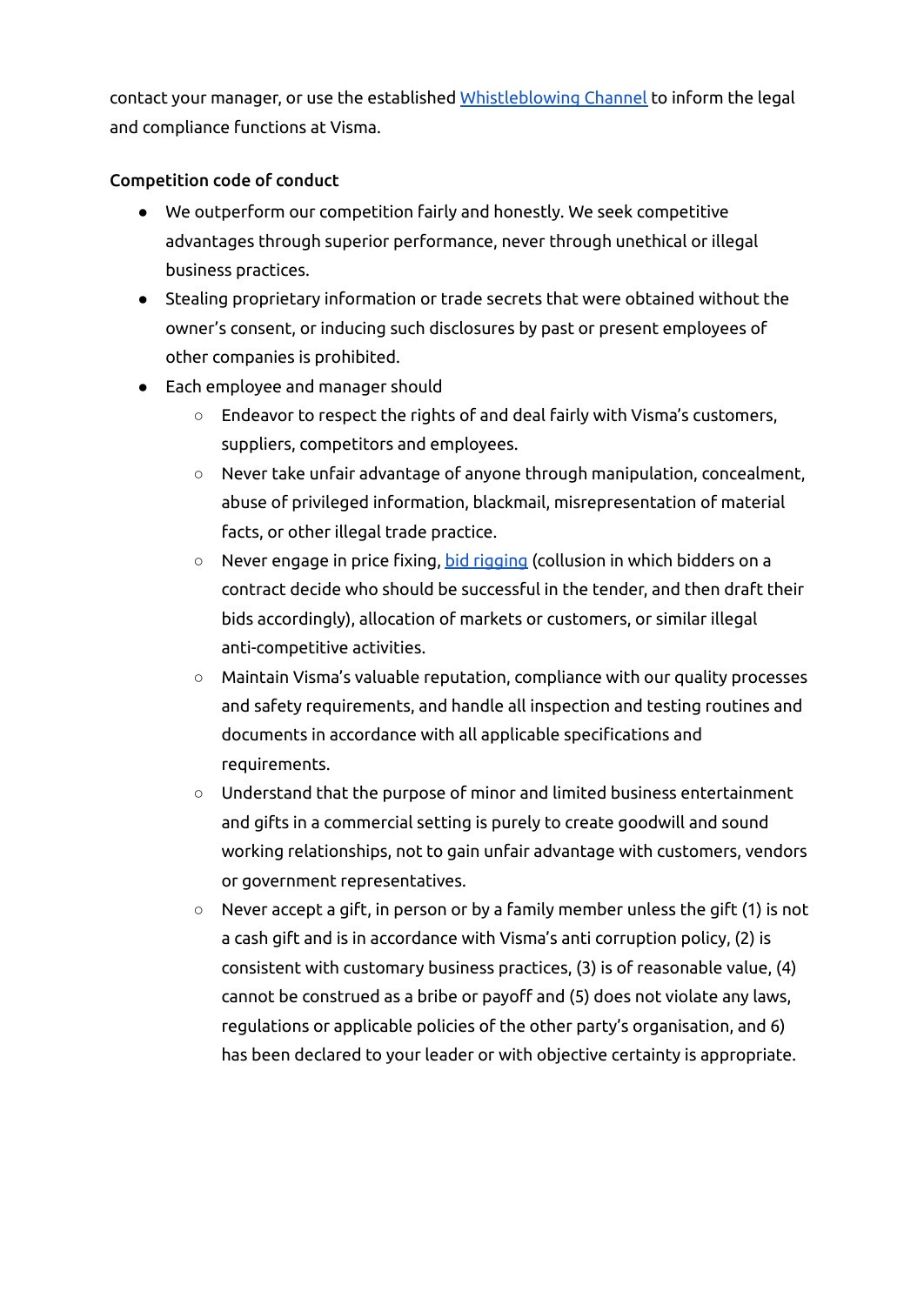contact your manager, or use the established *[Whistleblowing](https://www.visma.com/whistleblowing/) Channel* to inform the legal and compliance functions at Visma.

#### Competition code of conduct

- We outperform our competition fairly and honestly. We seek competitive advantages through superior performance, never through unethical or illegal business practices.
- Stealing proprietary information or trade secrets that were obtained without the owner's consent, or inducing such disclosures by past or present employees of other companies is prohibited.
- Each employee and manager should
	- Endeavor to respect the rights of and deal fairly with Visma's customers, suppliers, competitors and employees.
	- Never take unfair advantage of anyone through manipulation, concealment, abuse of privileged information, blackmail, misrepresentation of material facts, or other illegal trade practice.
	- Never engage in price fixing, bid [rigging](#page-4-0) (collusion in which bidders on a contract decide who should be successful in the tender, and then draft their bids accordingly), allocation of markets or customers, or similar illegal anti-competitive activities.
	- Maintain Visma's valuable reputation, compliance with our quality processes and safety requirements, and handle all inspection and testing routines and documents in accordance with all applicable specifications and requirements.
	- Understand that the purpose of minor and limited business entertainment and gifts in a commercial setting is purely to create goodwill and sound working relationships, not to gain unfair advantage with customers, vendors or government representatives.
	- Never accept a gift, in person or by a family member unless the gift (1) is not a cash gift and is in accordance with Visma's anti corruption policy, (2) is consistent with customary business practices, (3) is of reasonable value, (4) cannot be construed as a bribe or payoff and (5) does not violate any laws, regulations or applicable policies of the other party's organisation, and 6) has been declared to your leader or with objective certainty is appropriate.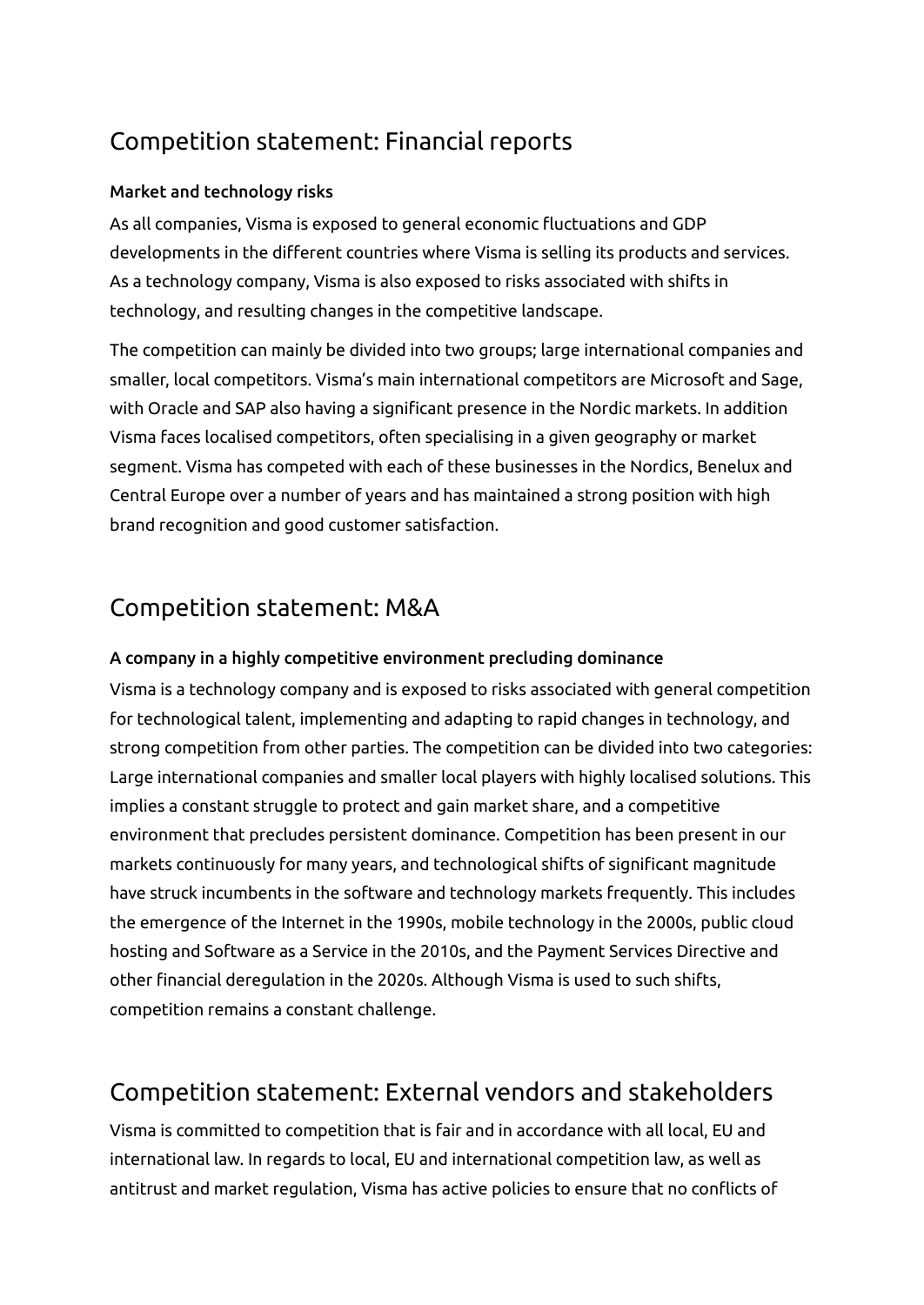# Competition statement: Financial reports

#### Market and technology risks

As all companies, Visma is exposed to general economic fluctuations and GDP developments in the different countries where Visma is selling its products and services. As a technology company, Visma is also exposed to risks associated with shifts in technology, and resulting changes in the competitive landscape.

The competition can mainly be divided into two groups; large international companies and smaller, local competitors. Visma's main international competitors are Microsoft and Sage, with Oracle and SAP also having a significant presence in the Nordic markets. In addition Visma faces localised competitors, often specialising in a given geography or market segment. Visma has competed with each of these businesses in the Nordics, Benelux and Central Europe over a number of years and has maintained a strong position with high brand recognition and good customer satisfaction.

## Competition statement: M&A

#### A company in a highly competitive environment precluding dominance

Visma is a technology company and is exposed to risks associated with general competition for technological talent, implementing and adapting to rapid changes in technology, and strong competition from other parties. The competition can be divided into two categories: Large international companies and smaller local players with highly localised solutions. This implies a constant struggle to protect and gain market share, and a competitive environment that precludes persistent dominance. Competition has been present in our markets continuously for many years, and technological shifts of significant magnitude have struck incumbents in the software and technology markets frequently. This includes the emergence of the Internet in the 1990s, mobile technology in the 2000s, public cloud hosting and Software as a Service in the 2010s, and the Payment Services Directive and other financial deregulation in the 2020s. Although Visma is used to such shifts, competition remains a constant challenge.

## Competition statement: External vendors and stakeholders

Visma is committed to competition that is fair and in accordance with all local, EU and international law. In regards to local, EU and international competition law, as well as antitrust and market regulation, Visma has active policies to ensure that no conflicts of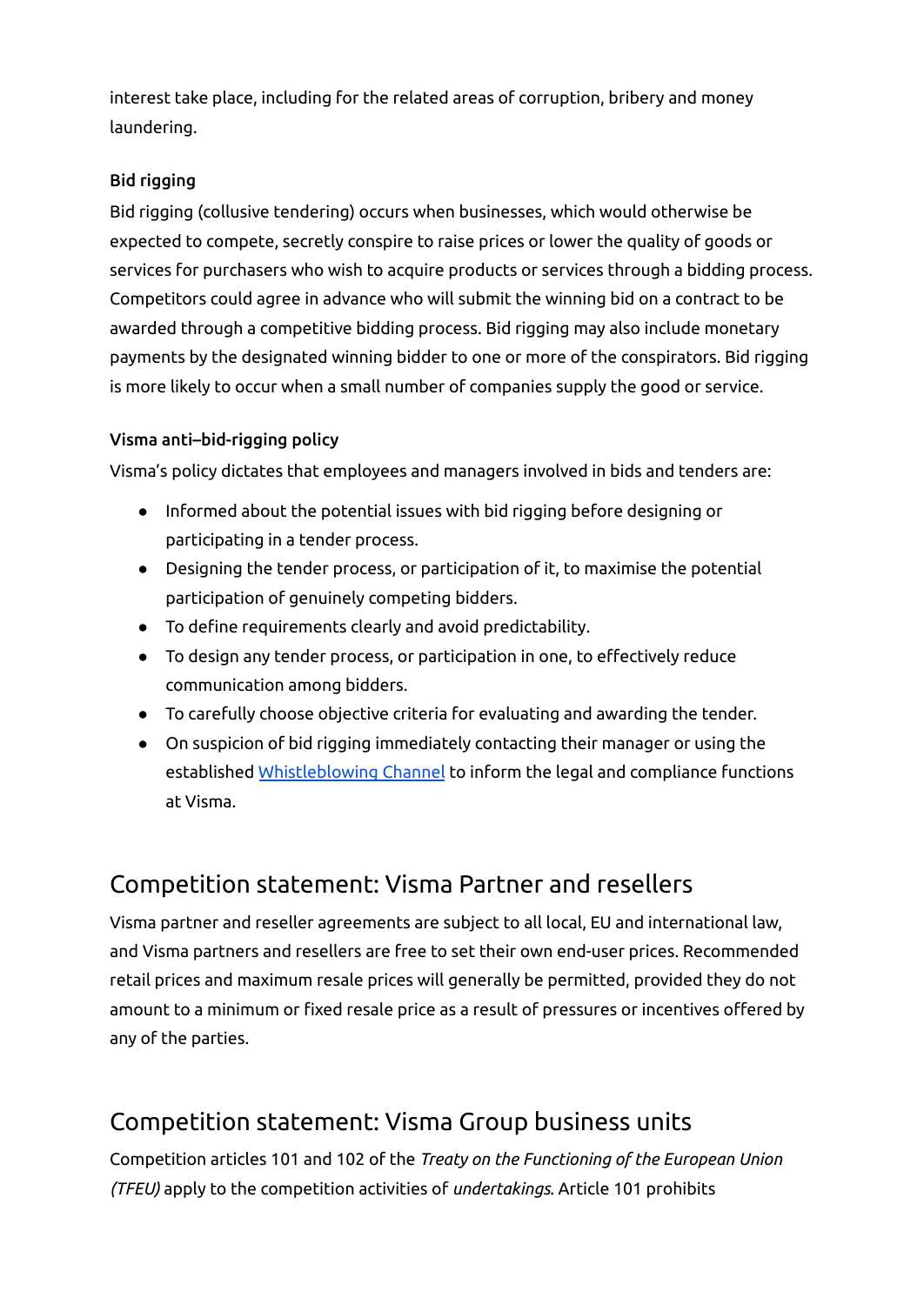interest take place, including for the related areas of corruption, bribery and money laundering.

#### <span id="page-4-0"></span>Bid rigging

Bid rigging (collusive tendering) occurs when businesses, which would otherwise be expected to compete, secretly conspire to raise prices or lower the quality of goods or services for purchasers who wish to acquire products or services through a bidding process. Competitors could agree in advance who will submit the winning bid on a contract to be awarded through a competitive bidding process. Bid rigging may also include monetary payments by the designated winning bidder to one or more of the conspirators. Bid rigging is more likely to occur when a small number of companies supply the good or service.

#### Visma anti–bid-rigging policy

Visma's policy dictates that employees and managers involved in bids and tenders are:

- Informed about the potential issues with bid rigging before designing or participating in a tender process.
- Designing the tender process, or participation of it, to maximise the potential participation of genuinely competing bidders.
- To define requirements clearly and avoid predictability.
- To design any tender process, or participation in one, to effectively reduce communication among bidders.
- To carefully choose objective criteria for evaluating and awarding the tender.
- On suspicion of bid rigging immediately contacting their manager or using the established [Whistleblowing](https://www.visma.com/whistleblowing/) Channel to inform the legal and compliance functions at Visma.

## Competition statement: Visma Partner and resellers

Visma partner and reseller agreements are subject to all local, EU and international law, and Visma partners and resellers are free to set their own end-user prices. Recommended retail prices and maximum resale prices will generally be permitted, provided they do not amount to a minimum or fixed resale price as a result of pressures or incentives offered by any of the parties.

# Competition statement: Visma Group business units

Competition articles 101 and 102 of the *Treaty on the Functioning of the European Union (TFEU)* apply to the competition activities of *undertakings*. Article 101 prohibits